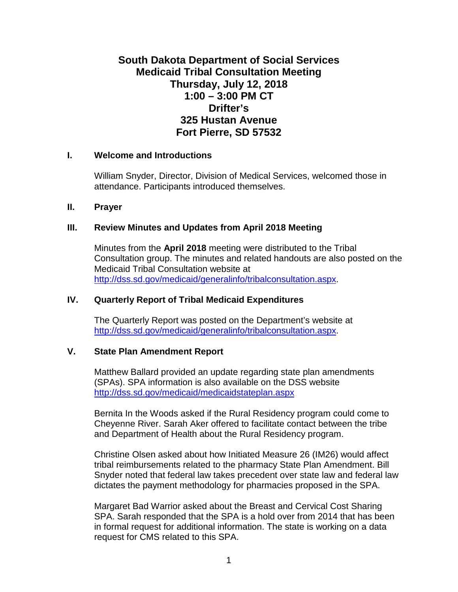# **South Dakota Department of Social Services Medicaid Tribal Consultation Meeting Thursday, July 12, 2018 1:00 – 3:00 PM CT Drifter's 325 Hustan Avenue Fort Pierre, SD 57532**

### **I. Welcome and Introductions**

William Snyder, Director, Division of Medical Services, welcomed those in attendance. Participants introduced themselves.

### **II. Prayer**

### **III. Review Minutes and Updates from April 2018 Meeting**

Minutes from the **April 2018** meeting were distributed to the Tribal Consultation group. The minutes and related handouts are also posted on the Medicaid Tribal Consultation website at [http://dss.sd.gov/medicaid/generalinfo/tribalconsultation.aspx.](http://dss.sd.gov/medicaid/generalinfo/tribalconsultation.aspx)

### **IV. Quarterly Report of Tribal Medicaid Expenditures**

The Quarterly Report was posted on the Department's website at [http://dss.sd.gov/medicaid/generalinfo/tribalconsultation.aspx.](http://dss.sd.gov/medicaid/generalinfo/tribalconsultation.aspx)

## **V. State Plan Amendment Report**

Matthew Ballard provided an update regarding state plan amendments (SPAs). SPA information is also available on the DSS website <http://dss.sd.gov/medicaid/medicaidstateplan.aspx>

Bernita In the Woods asked if the Rural Residency program could come to Cheyenne River. Sarah Aker offered to facilitate contact between the tribe and Department of Health about the Rural Residency program.

Christine Olsen asked about how Initiated Measure 26 (IM26) would affect tribal reimbursements related to the pharmacy State Plan Amendment. Bill Snyder noted that federal law takes precedent over state law and federal law dictates the payment methodology for pharmacies proposed in the SPA.

Margaret Bad Warrior asked about the Breast and Cervical Cost Sharing SPA. Sarah responded that the SPA is a hold over from 2014 that has been in formal request for additional information. The state is working on a data request for CMS related to this SPA.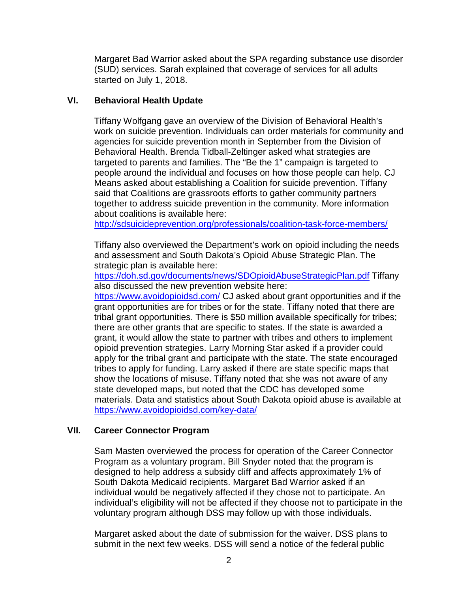Margaret Bad Warrior asked about the SPA regarding substance use disorder (SUD) services. Sarah explained that coverage of services for all adults started on July 1, 2018.

# **VI. Behavioral Health Update**

Tiffany Wolfgang gave an overview of the Division of Behavioral Health's work on suicide prevention. Individuals can order materials for community and agencies for suicide prevention month in September from the Division of Behavioral Health. Brenda Tidball-Zeltinger asked what strategies are targeted to parents and families. The "Be the 1" campaign is targeted to people around the individual and focuses on how those people can help. CJ Means asked about establishing a Coalition for suicide prevention. Tiffany said that Coalitions are grassroots efforts to gather community partners together to address suicide prevention in the community. More information about coalitions is available here:

<http://sdsuicideprevention.org/professionals/coalition-task-force-members/>

Tiffany also overviewed the Department's work on opioid including the needs and assessment and South Dakota's Opioid Abuse Strategic Plan. The strategic plan is available here:

<https://doh.sd.gov/documents/news/SDOpioidAbuseStrategicPlan.pdf> Tiffany also discussed the new prevention website here:

<https://www.avoidopioidsd.com/> CJ asked about grant opportunities and if the grant opportunities are for tribes or for the state. Tiffany noted that there are tribal grant opportunities. There is \$50 million available specifically for tribes; there are other grants that are specific to states. If the state is awarded a grant, it would allow the state to partner with tribes and others to implement opioid prevention strategies. Larry Morning Star asked if a provider could apply for the tribal grant and participate with the state. The state encouraged tribes to apply for funding. Larry asked if there are state specific maps that show the locations of misuse. Tiffany noted that she was not aware of any state developed maps, but noted that the CDC has developed some materials. Data and statistics about South Dakota opioid abuse is available at <https://www.avoidopioidsd.com/key-data/>

# **VII. Career Connector Program**

Sam Masten overviewed the process for operation of the Career Connector Program as a voluntary program. Bill Snyder noted that the program is designed to help address a subsidy cliff and affects approximately 1% of South Dakota Medicaid recipients. Margaret Bad Warrior asked if an individual would be negatively affected if they chose not to participate. An individual's eligibility will not be affected if they choose not to participate in the voluntary program although DSS may follow up with those individuals.

Margaret asked about the date of submission for the waiver. DSS plans to submit in the next few weeks. DSS will send a notice of the federal public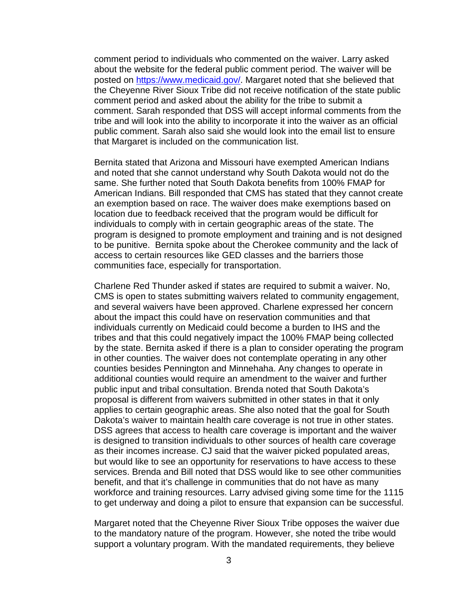comment period to individuals who commented on the waiver. Larry asked about the website for the federal public comment period. The waiver will be posted on [https://www.medicaid.gov/.](https://www.medicaid.gov/) Margaret noted that she believed that the Cheyenne River Sioux Tribe did not receive notification of the state public comment period and asked about the ability for the tribe to submit a comment. Sarah responded that DSS will accept informal comments from the tribe and will look into the ability to incorporate it into the waiver as an official public comment. Sarah also said she would look into the email list to ensure that Margaret is included on the communication list.

Bernita stated that Arizona and Missouri have exempted American Indians and noted that she cannot understand why South Dakota would not do the same. She further noted that South Dakota benefits from 100% FMAP for American Indians. Bill responded that CMS has stated that they cannot create an exemption based on race. The waiver does make exemptions based on location due to feedback received that the program would be difficult for individuals to comply with in certain geographic areas of the state. The program is designed to promote employment and training and is not designed to be punitive. Bernita spoke about the Cherokee community and the lack of access to certain resources like GED classes and the barriers those communities face, especially for transportation.

Charlene Red Thunder asked if states are required to submit a waiver. No, CMS is open to states submitting waivers related to community engagement, and several waivers have been approved. Charlene expressed her concern about the impact this could have on reservation communities and that individuals currently on Medicaid could become a burden to IHS and the tribes and that this could negatively impact the 100% FMAP being collected by the state. Bernita asked if there is a plan to consider operating the program in other counties. The waiver does not contemplate operating in any other counties besides Pennington and Minnehaha. Any changes to operate in additional counties would require an amendment to the waiver and further public input and tribal consultation. Brenda noted that South Dakota's proposal is different from waivers submitted in other states in that it only applies to certain geographic areas. She also noted that the goal for South Dakota's waiver to maintain health care coverage is not true in other states. DSS agrees that access to health care coverage is important and the waiver is designed to transition individuals to other sources of health care coverage as their incomes increase. CJ said that the waiver picked populated areas, but would like to see an opportunity for reservations to have access to these services. Brenda and Bill noted that DSS would like to see other communities benefit, and that it's challenge in communities that do not have as many workforce and training resources. Larry advised giving some time for the 1115 to get underway and doing a pilot to ensure that expansion can be successful.

Margaret noted that the Cheyenne River Sioux Tribe opposes the waiver due to the mandatory nature of the program. However, she noted the tribe would support a voluntary program. With the mandated requirements, they believe